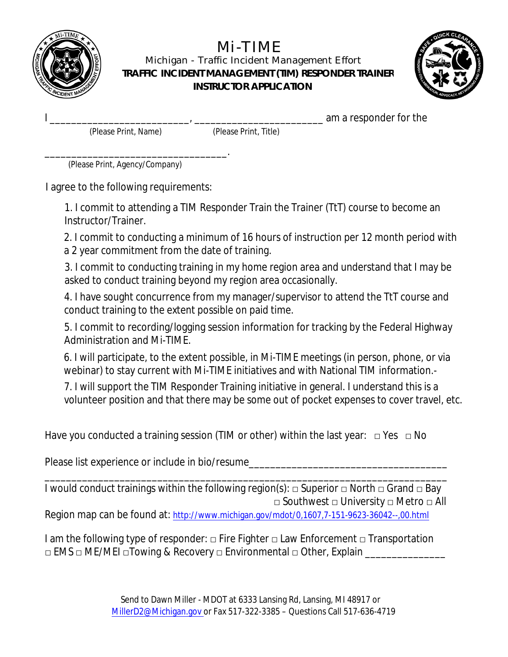

## **Mi-TIME**

Michigan - Traffic Incident Management Effort TRAFFIC INCIDENT MANAGEMENT (TIM) RESPONDER TRAINER **INSTRUCTOR APPLICATION** 



am a responder for the

(Please Print, Name)

(Please Print, Title)

(Please Print, Agency/Company)

I agree to the following requirements:

1. I commit to attending a TIM Responder Train the Trainer (TtT) course to become an **Instructor/Trainer.** 

2. I commit to conducting a minimum of 16 hours of instruction per 12 month period with a 2 year commitment from the date of training.

3. I commit to conducting training in my home region area and understand that I may be asked to conduct training beyond my region area occasionally.

4. I have sought concurrence from my manager/supervisor to attend the TtT course and conduct training to the extent possible on paid time.

5. I commit to recording/logging session information for tracking by the Federal Highway **Administration and Mi-TIME.** 

6. I will participate, to the extent possible, in Mi-TIME meetings (in person, phone, or via webinar) to stay current with Mi-TIME initiatives and with National TIM information.-

7. I will support the TIM Responder Training initiative in general. I understand this is a volunteer position and that there may be some out of pocket expenses to cover travel, etc.

Have you conducted a training session (TIM or other) within the last year:  $\Box$  Yes  $\Box$  No

Please list experience or include in bio/resume\_\_\_\_\_\_\_\_\_\_\_\_\_\_\_\_\_\_\_\_\_\_\_\_\_\_\_\_\_\_\_\_\_

I would conduct trainings within the following region(s):  $\Box$  Superior  $\Box$  North  $\Box$  Grand  $\Box$  Bay  $\Box$  Southwest  $\Box$  University  $\Box$  Metro  $\Box$  All Region map can be found at: http://www.michigan.gov/mdot/0,1607,7-151-9623-36042--,00.html

I am the following type of responder:  $\Box$  Fire Fighter  $\Box$  Law Enforcement  $\Box$  Transportation  $\Box$  EMS  $\Box$  ME/MEI  $\Box$ Towing & Recovery  $\Box$  Environmental  $\Box$  Other, Explain